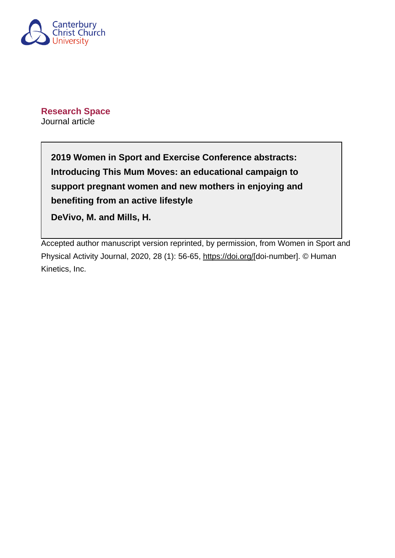

**Research Space** Journal article

> **2019 Women in Sport and Exercise Conference abstracts: Introducing This Mum Moves: an educational campaign to support pregnant women and new mothers in enjoying and benefiting from an active lifestyle**

**DeVivo, M. and Mills, H.**

Accepted author manuscript version reprinted, by permission, from Women in Sport and Physical Activity Journal, 2020, 28 (1): 56-65,<https://doi.org/>[doi-number]. © Human Kinetics, Inc.